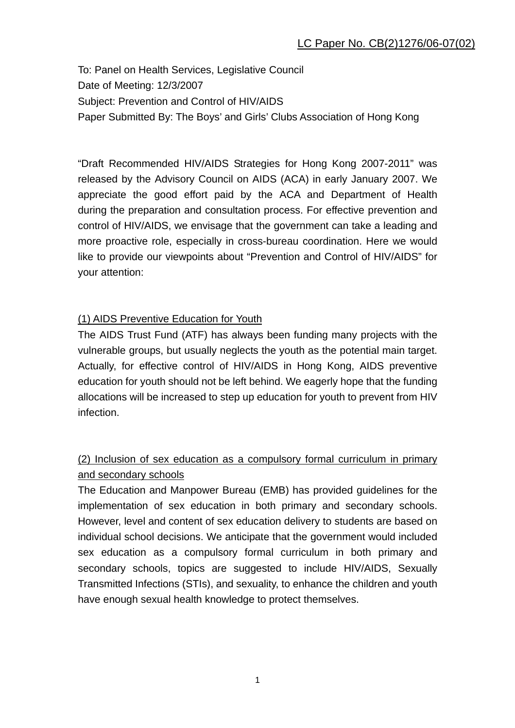To: Panel on Health Services, Legislative Council Date of Meeting: 12/3/2007 Subject: Prevention and Control of HIV/AIDS Paper Submitted By: The Boys' and Girls' Clubs Association of Hong Kong

"Draft Recommended HIV/AIDS Strategies for Hong Kong 2007-2011" was released by the Advisory Council on AIDS (ACA) in early January 2007. We appreciate the good effort paid by the ACA and Department of Health during the preparation and consultation process. For effective prevention and control of HIV/AIDS, we envisage that the government can take a leading and more proactive role, especially in cross-bureau coordination. Here we would like to provide our viewpoints about "Prevention and Control of HIV/AIDS" for your attention:

## (1) AIDS Preventive Education for Youth

The AIDS Trust Fund (ATF) has always been funding many projects with the vulnerable groups, but usually neglects the youth as the potential main target. Actually, for effective control of HIV/AIDS in Hong Kong, AIDS preventive education for youth should not be left behind. We eagerly hope that the funding allocations will be increased to step up education for youth to prevent from HIV infection.

## (2) Inclusion of sex education as a compulsory formal curriculum in primary and secondary schools

The Education and Manpower Bureau (EMB) has provided guidelines for the implementation of sex education in both primary and secondary schools. However, level and content of sex education delivery to students are based on individual school decisions. We anticipate that the government would included sex education as a compulsory formal curriculum in both primary and secondary schools, topics are suggested to include HIV/AIDS, Sexually Transmitted Infections (STIs), and sexuality, to enhance the children and youth have enough sexual health knowledge to protect themselves.